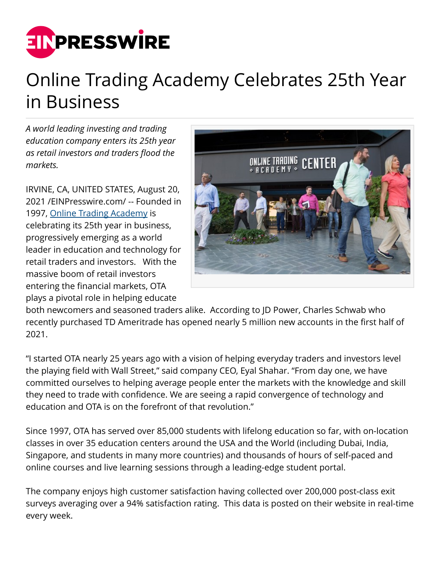

## Online Trading Academy Celebrates 25th Year in Business

*A world leading investing and trading education company enters its 25th year as retail investors and traders flood the markets.*

IRVINE, CA, UNITED STATES, August 20, 2021 /[EINPresswire.com](http://www.einpresswire.com)/ -- Founded in 1997, [Online Trading Academy](https://www.youtube.com/user/tradingacademy) is celebrating its 25th year in business, progressively emerging as a world leader in education and technology for retail traders and investors. With the massive boom of retail investors entering the financial markets, OTA plays a pivotal role in helping educate



both newcomers and seasoned traders alike. According to JD Power, Charles Schwab who recently purchased TD Ameritrade has opened nearly 5 million new accounts in the first half of 2021.

"I started OTA nearly 25 years ago with a vision of helping everyday traders and investors level the playing field with Wall Street," said company CEO, Eyal Shahar. "From day one, we have committed ourselves to helping average people enter the markets with the knowledge and skill they need to trade with confidence. We are seeing a rapid convergence of technology and education and OTA is on the forefront of that revolution."

Since 1997, OTA has served over 85,000 students with lifelong education so far, with on-location classes in over 35 education centers around the USA and the World (including Dubai, India, Singapore, and students in many more countries) and thousands of hours of self-paced and online courses and live learning sessions through a leading-edge student portal.

The company enjoys high customer satisfaction having collected over 200,000 post-class exit surveys averaging over a 94% satisfaction rating. This data is posted on their website in real-time every week.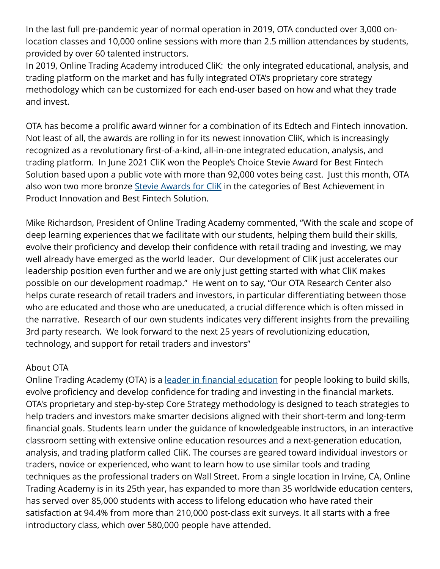In the last full pre-pandemic year of normal operation in 2019, OTA conducted over 3,000 onlocation classes and 10,000 online sessions with more than 2.5 million attendances by students, provided by over 60 talented instructors.

In 2019, Online Trading Academy introduced CliK: the only integrated educational, analysis, and trading platform on the market and has fully integrated OTA's proprietary core strategy methodology which can be customized for each end-user based on how and what they trade and invest.

OTA has become a prolific award winner for a combination of its Edtech and Fintech innovation. Not least of all, the awards are rolling in for its newest innovation CliK, which is increasingly recognized as a revolutionary first-of-a-kind, all-in-one integrated education, analysis, and trading platform. In June 2021 CliK won the People's Choice Stevie Award for Best Fintech Solution based upon a public vote with more than 92,000 votes being cast. Just this month, OTA also won two more bronze [Stevie Awards for CliK](https://www.prnewswire.com/news-releases/online-trading-academy-adds-to-stevie-awards-collection-301357383.html) in the categories of Best Achievement in Product Innovation and Best Fintech Solution.

Mike Richardson, President of Online Trading Academy commented, "With the scale and scope of deep learning experiences that we facilitate with our students, helping them build their skills, evolve their proficiency and develop their confidence with retail trading and investing, we may well already have emerged as the world leader. Our development of CliK just accelerates our leadership position even further and we are only just getting started with what CliK makes possible on our development roadmap." He went on to say, "Our OTA Research Center also helps curate research of retail traders and investors, in particular differentiating between those who are educated and those who are uneducated, a crucial difference which is often missed in the narrative. Research of our own students indicates very different insights from the prevailing 3rd party research. We look forward to the next 25 years of revolutionizing education, technology, and support for retail traders and investors"

## About OTA

Online Trading Academy (OTA) is a [leader in financial education](https://www.businesswire.com/news/home/20210604005634/en/Online-Trading-Academy-launches-Women-in-Trading-Investing) for people looking to build skills, evolve proficiency and develop confidence for trading and investing in the financial markets. OTA's proprietary and step-by-step Core Strategy methodology is designed to teach strategies to help traders and investors make smarter decisions aligned with their short-term and long-term financial goals. Students learn under the guidance of knowledgeable instructors, in an interactive classroom setting with extensive online education resources and a next-generation education, analysis, and trading platform called CliK. The courses are geared toward individual investors or traders, novice or experienced, who want to learn how to use similar tools and trading techniques as the professional traders on Wall Street. From a single location in Irvine, CA, Online Trading Academy is in its 25th year, has expanded to more than 35 worldwide education centers, has served over 85,000 students with access to lifelong education who have rated their satisfaction at 94.4% from more than 210,000 post-class exit surveys. It all starts with a free introductory class, which over 580,000 people have attended.